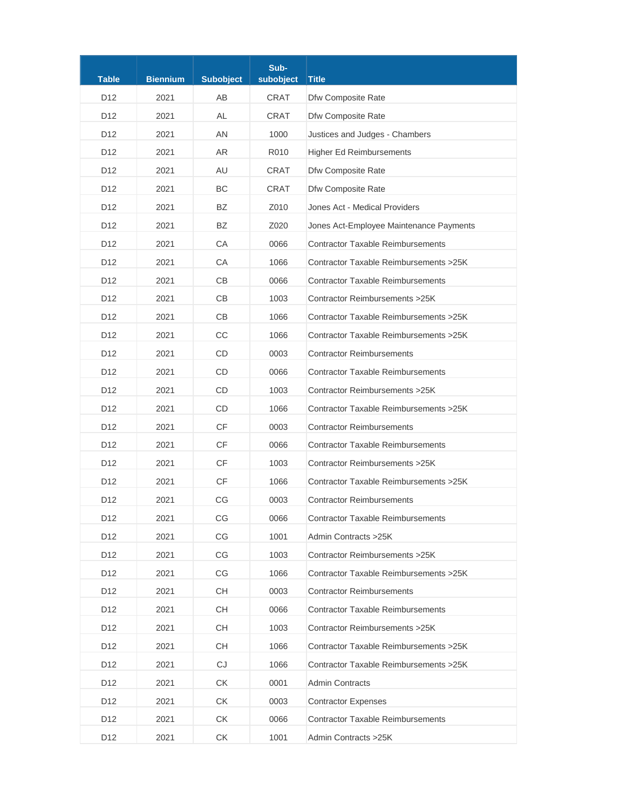| <b>Table</b>    | <b>Biennium</b> | <b>Subobject</b> | Sub-<br>subobject | <b>Title</b>                             |
|-----------------|-----------------|------------------|-------------------|------------------------------------------|
| D <sub>12</sub> | 2021            | AB               | CRAT              | Dfw Composite Rate                       |
| D <sub>12</sub> | 2021            | AL               | <b>CRAT</b>       | Dfw Composite Rate                       |
| D <sub>12</sub> | 2021            | AN               | 1000              | Justices and Judges - Chambers           |
| D <sub>12</sub> | 2021            | <b>AR</b>        | R010              | <b>Higher Ed Reimbursements</b>          |
| D <sub>12</sub> | 2021            | AU               | <b>CRAT</b>       | Dfw Composite Rate                       |
| D <sub>12</sub> | 2021            | BC               | <b>CRAT</b>       | Dfw Composite Rate                       |
| D <sub>12</sub> | 2021            | BZ               | Z010              | Jones Act - Medical Providers            |
| D12             | 2021            | BZ               | Z020              | Jones Act-Employee Maintenance Payments  |
| D <sub>12</sub> | 2021            | CA               | 0066              | <b>Contractor Taxable Reimbursements</b> |
| D <sub>12</sub> | 2021            | CA               | 1066              | Contractor Taxable Reimbursements > 25K  |
| D <sub>12</sub> | 2021            | CB               | 0066              | <b>Contractor Taxable Reimbursements</b> |
| D <sub>12</sub> | 2021            | CB               | 1003              | Contractor Reimbursements > 25K          |
| D <sub>12</sub> | 2021            | CB               | 1066              | Contractor Taxable Reimbursements > 25K  |
| D <sub>12</sub> | 2021            | CC               | 1066              | Contractor Taxable Reimbursements > 25K  |
| D <sub>12</sub> | 2021            | CD               | 0003              | <b>Contractor Reimbursements</b>         |
| D <sub>12</sub> | 2021            | <b>CD</b>        | 0066              | <b>Contractor Taxable Reimbursements</b> |
| D <sub>12</sub> | 2021            | CD               | 1003              | Contractor Reimbursements > 25K          |
| D <sub>12</sub> | 2021            | <b>CD</b>        | 1066              | Contractor Taxable Reimbursements > 25K  |
| D <sub>12</sub> | 2021            | <b>CF</b>        | 0003              | <b>Contractor Reimbursements</b>         |
| D <sub>12</sub> | 2021            | <b>CF</b>        | 0066              | <b>Contractor Taxable Reimbursements</b> |
| D <sub>12</sub> | 2021            | <b>CF</b>        | 1003              | Contractor Reimbursements > 25K          |
| D <sub>12</sub> | 2021            | <b>CF</b>        | 1066              | Contractor Taxable Reimbursements > 25K  |
| D <sub>12</sub> | 2021            | CG               | 0003              | <b>Contractor Reimbursements</b>         |
| D <sub>12</sub> | 2021            | CG               | 0066              | <b>Contractor Taxable Reimbursements</b> |
| D <sub>12</sub> | 2021            | CG               | 1001              | Admin Contracts > 25K                    |
| D12             | 2021            | CG               | 1003              | Contractor Reimbursements > 25K          |
| D <sub>12</sub> | 2021            | CG               | 1066              | Contractor Taxable Reimbursements > 25K  |
| D <sub>12</sub> | 2021            | CH               | 0003              | <b>Contractor Reimbursements</b>         |
| D12             | 2021            | CH               | 0066              | <b>Contractor Taxable Reimbursements</b> |
| D12             | 2021            | CH               | 1003              | Contractor Reimbursements > 25K          |
| D <sub>12</sub> | 2021            | CH               | 1066              | Contractor Taxable Reimbursements > 25K  |
| D12             | 2021            | CJ               | 1066              | Contractor Taxable Reimbursements > 25K  |
| D <sub>12</sub> | 2021            | <b>CK</b>        | 0001              | <b>Admin Contracts</b>                   |
| D <sub>12</sub> | 2021            | <b>CK</b>        | 0003              | <b>Contractor Expenses</b>               |
| D <sub>12</sub> | 2021            | СK               | 0066              | <b>Contractor Taxable Reimbursements</b> |
| D12             | 2021            | СK               | 1001              | Admin Contracts > 25K                    |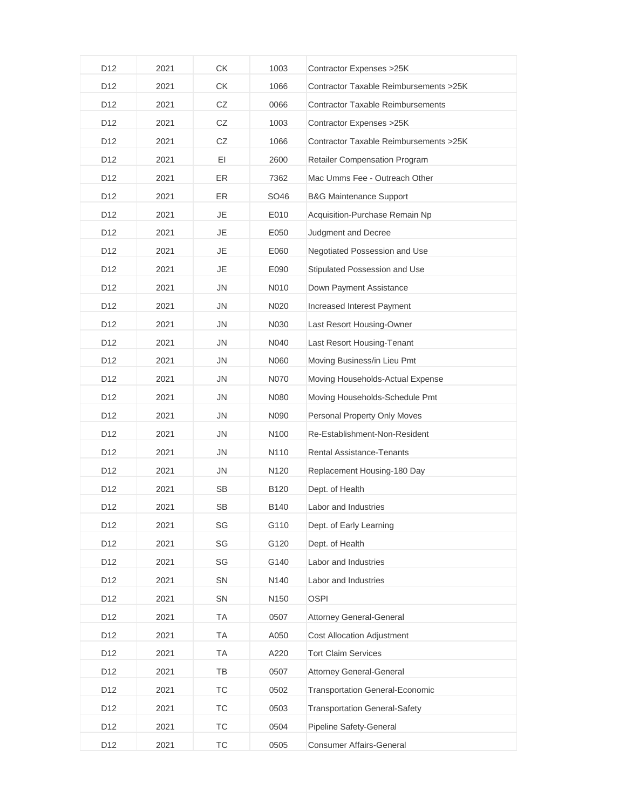| D <sub>12</sub> | 2021 | CK        | 1003 | Contractor Expenses > 25K                |
|-----------------|------|-----------|------|------------------------------------------|
| D12             | 2021 | CK        | 1066 | Contractor Taxable Reimbursements > 25K  |
| D <sub>12</sub> | 2021 | CZ        | 0066 | <b>Contractor Taxable Reimbursements</b> |
| D12             | 2021 | CZ        | 1003 | Contractor Expenses > 25K                |
| D <sub>12</sub> | 2021 | CZ        | 1066 | Contractor Taxable Reimbursements > 25K  |
| D <sub>12</sub> | 2021 | EI        | 2600 | <b>Retailer Compensation Program</b>     |
| D12             | 2021 | ER        | 7362 | Mac Umms Fee - Outreach Other            |
| D <sub>12</sub> | 2021 | ER        | SO46 | <b>B&amp;G Maintenance Support</b>       |
| D <sub>12</sub> | 2021 | <b>JE</b> | E010 | Acquisition-Purchase Remain Np           |
| D <sub>12</sub> | 2021 | JE        | E050 | Judgment and Decree                      |
| D <sub>12</sub> | 2021 | <b>JE</b> | E060 | Negotiated Possession and Use            |
| D12             | 2021 | <b>JE</b> | E090 | Stipulated Possession and Use            |
| D <sub>12</sub> | 2021 | <b>JN</b> | N010 | Down Payment Assistance                  |
| D12             | 2021 | <b>JN</b> | N020 | Increased Interest Payment               |
| D <sub>12</sub> | 2021 | <b>JN</b> | N030 | Last Resort Housing-Owner                |
| D <sub>12</sub> | 2021 | <b>JN</b> | N040 | Last Resort Housing-Tenant               |
| D <sub>12</sub> | 2021 | <b>JN</b> | N060 | Moving Business/in Lieu Pmt              |
| D <sub>12</sub> | 2021 | <b>JN</b> | N070 | Moving Households-Actual Expense         |
| D12             | 2021 | <b>JN</b> | N080 | Moving Households-Schedule Pmt           |
| D12             | 2021 | <b>JN</b> | N090 | Personal Property Only Moves             |
| D <sub>12</sub> | 2021 | <b>JN</b> | N100 | Re-Establishment-Non-Resident            |
| D12             | 2021 | <b>JN</b> | N110 | <b>Rental Assistance-Tenants</b>         |
| D <sub>12</sub> | 2021 | <b>JN</b> | N120 | Replacement Housing-180 Day              |
| D12             | 2021 | <b>SB</b> | B120 | Dept. of Health                          |
| D12             | 2021 | SB        | B140 | Labor and Industries                     |
| D12             | 2021 | SG        | G110 | Dept. of Early Learning                  |
| D12             | 2021 | SG        | G120 | Dept. of Health                          |
| D12             | 2021 | SG        | G140 | Labor and Industries                     |
| D12             | 2021 | SN        | N140 | Labor and Industries                     |
| D12             | 2021 | SN        | N150 | <b>OSPI</b>                              |
| D12             | 2021 | TA        | 0507 | Attorney General-General                 |
| D12             | 2021 | TA        | A050 | <b>Cost Allocation Adjustment</b>        |
| D12             | 2021 | TA        | A220 | <b>Tort Claim Services</b>               |
| D <sub>12</sub> | 2021 | TB        | 0507 | <b>Attorney General-General</b>          |
| D12             | 2021 | TC        | 0502 | <b>Transportation General-Economic</b>   |
| D12             | 2021 | TC        | 0503 | <b>Transportation General-Safety</b>     |
| D12             | 2021 | <b>TC</b> | 0504 | Pipeline Safety-General                  |
| D12             | 2021 | TC        | 0505 | <b>Consumer Affairs-General</b>          |